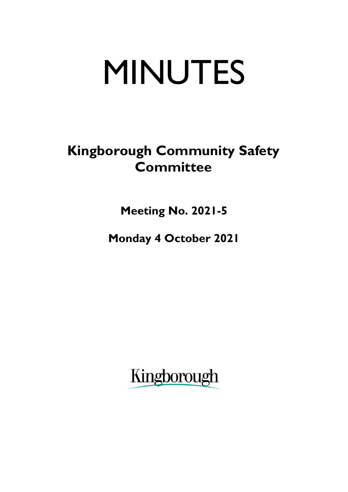# MINUTES

## **Kingborough Community Safety Committee**

**Meeting No. 2021-5**

**Monday 4 October 2021**

Kingborough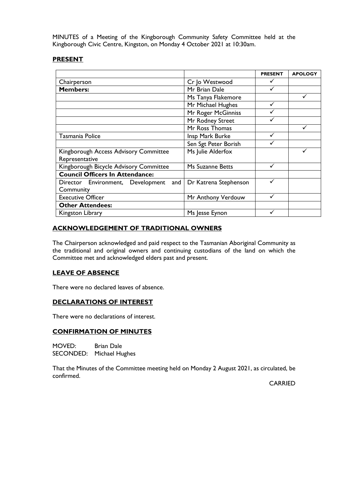MINUTES of a Meeting of the Kingborough Community Safety Committee held at the Kingborough Civic Centre, Kingston, on Monday 4 October 2021 at 10:30am.

#### **PRESENT**

|                                        |                       | <b>PRESENT</b> | <b>APOLOGY</b> |
|----------------------------------------|-----------------------|----------------|----------------|
| Chairperson                            | Cr Jo Westwood        |                |                |
| <b>Members:</b>                        | Mr Brian Dale         |                |                |
|                                        | Ms Tanya Flakemore    |                |                |
|                                        | Mr Michael Hughes     |                |                |
|                                        | Mr Roger McGinniss    |                |                |
|                                        | Mr Rodney Street      |                |                |
|                                        | Mr Ross Thomas        |                |                |
| Tasmania Police                        | Insp Mark Burke       |                |                |
|                                        | Sen Sgt Peter Borish  |                |                |
| Kingborough Access Advisory Committee  | Ms Julie Alderfox     |                |                |
| Representative                         |                       |                |                |
| Kingborough Bicycle Advisory Committee | Ms Suzanne Betts      | ✓              |                |
| <b>Council Officers In Attendance:</b> |                       |                |                |
| Director Environment, Development and  | Dr Katrena Stephenson |                |                |
| Community                              |                       |                |                |
| <b>Executive Officer</b>               | Mr Anthony Verdouw    |                |                |
| <b>Other Attendees:</b>                |                       |                |                |
| Kingston Library                       | Ms Jesse Eynon        | ✓              |                |

#### **ACKNOWLEDGEMENT OF TRADITIONAL OWNERS**

The Chairperson acknowledged and paid respect to the Tasmanian Aboriginal Community as the traditional and original owners and continuing custodians of the land on which the Committee met and acknowledged elders past and present.

#### **LEAVE OF ABSENCE**

There were no declared leaves of absence.

#### **DECLARATIONS OF INTEREST**

There were no declarations of interest.

#### **CONFIRMATION OF MINUTES**

MOVED: Brian Dale SECONDED: Michael Hughes

That the Minutes of the Committee meeting held on Monday 2 August 2021, as circulated, be confirmed.

CARRIED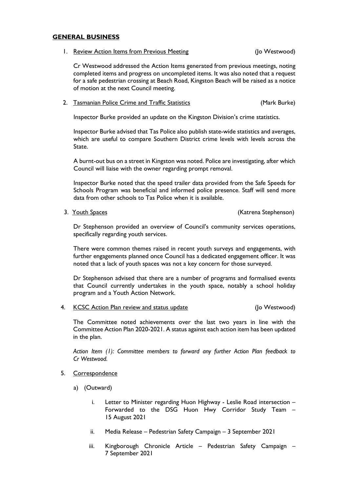#### **GENERAL BUSINESS**

1. Review Action Items from Previous Meeting (Jo Westwood)

Cr Westwood addressed the Action Items generated from previous meetings, noting completed items and progress on uncompleted items. It was also noted that a request for a safe pedestrian crossing at Beach Road, Kingston Beach will be raised as a notice of motion at the next Council meeting.

#### 2. Tasmanian Police Crime and Traffic Statistics **Canadian Constructs** (Mark Burke)

Inspector Burke provided an update on the Kingston Division's crime statistics.

Inspector Burke advised that Tas Police also publish state-wide statistics and averages, which are useful to compare Southern District crime levels with levels across the State.

A burnt-out bus on a street in Kingston was noted. Police are investigating, after which Council will liaise with the owner regarding prompt removal.

Inspector Burke noted that the speed trailer data provided from the Safe Speeds for Schools Program was beneficial and informed police presence. Staff will send more data from other schools to Tas Police when it is available.

3. Youth Spaces (Katrena Stephenson) 3. Touth Spaces

Dr Stephenson provided an overview of Council's community services operations, specifically regarding youth services.

There were common themes raised in recent youth surveys and engagements, with further engagements planned once Council has a dedicated engagement officer. It was noted that a lack of youth spaces was not a key concern for those surveyed.

Dr Stephenson advised that there are a number of programs and formalised events that Council currently undertakes in the youth space, notably a school holiday program and a Youth Action Network.

4. KCSC Action Plan review and status update (Jo Westwood)

The Committee noted achievements over the last two years in line with the Committee Action Plan 2020-2021. A status against each action item has been updated in the plan.

*Action Item (1): Committee members to forward any further Action Plan feedback to Cr Westwood.*

- 5. Correspondence
	- a) (Outward)
		- i. Letter to Minister regarding Huon Highway Leslie Road intersection Forwarded to the DSG Huon Hwy Corridor Study Team – 15 August 2021
		- ii. Media Release Pedestrian Safety Campaign 3 September 2021
		- iii. Kingborough Chronicle Article Pedestrian Safety Campaign 7 September 2021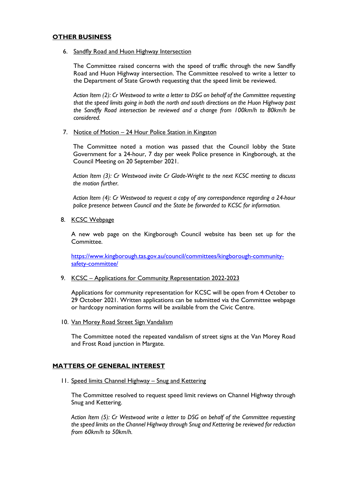#### **OTHER BUSINESS**

6. Sandfly Road and Huon Highway Intersection

The Committee raised concerns with the speed of traffic through the new Sandfly Road and Huon Highway intersection. The Committee resolved to write a letter to the Department of State Growth requesting that the speed limit be reviewed.

*Action Item (2): Cr Westwood to write a letter to DSG on behalf of the Committee requesting that the speed limits going in both the north and south directions on the Huon Highway past the Sandfly Road intersection be reviewed and a change from 100km/h to 80km/h be considered.*

7. Notice of Motion – 24 Hour Police Station in Kingston

The Committee noted a motion was passed that the Council lobby the State Government for a 24-hour, 7 day per week Police presence in Kingborough, at the Council Meeting on 20 September 2021.

*Action Item (3): Cr Westwood invite Cr Glade-Wright to the next KCSC meeting to discuss the motion further.*

*Action Item (4): Cr Westwood to request a copy of any correspondence regarding a 24-hour police presence between Council and the State be forwarded to KCSC for information.*

8. KCSC Webpage

A new web page on the Kingborough Council website has been set up for the Committee.

[https://www.kingborough.tas.gov.au/council/committees/kingborough-community](https://www.kingborough.tas.gov.au/council/committees/kingborough-community-safety-committee/)[safety-committee/](https://www.kingborough.tas.gov.au/council/committees/kingborough-community-safety-committee/)

#### 9. KCSC – Applications for Community Representation 2022-2023

Applications for community representation for KCSC will be open from 4 October to 29 October 2021. Written applications can be submitted via the Committee webpage or hardcopy nomination forms will be available from the Civic Centre.

10. Van Morey Road Street Sign Vandalism

The Committee noted the repeated vandalism of street signs at the Van Morey Road and Frost Road junction in Margate.

#### **MATTERS OF GENERAL INTEREST**

11. Speed limits Channel Highway – Snug and Kettering

The Committee resolved to request speed limit reviews on Channel Highway through Snug and Kettering.

*Action Item (5): Cr Westwood write a letter to DSG on behalf of the Committee requesting the speed limits on the Channel Highway through Snug and Kettering be reviewed for reduction from 60km/h to 50km/h.*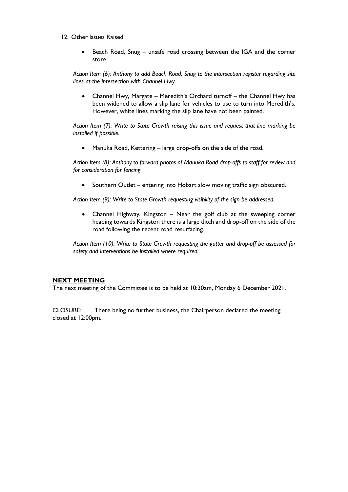#### 12. Other Issues Raised

• Beach Road, Snug – unsafe road crossing between the IGA and the corner store.

*Action Item (6): Anthony to add Beach Road, Snug to the intersection register regarding site lines at the intersection with Channel Hwy.* 

• Channel Hwy, Margate – Meredith's Orchard turnoff – the Channel Hwy has been widened to allow a slip lane for vehicles to use to turn into Meredith's. However, white lines marking the slip lane have not been painted.

*Action Item (7): Write to State Growth raising this issue and request that line marking be installed if possible.*

• Manuka Road, Kettering – large drop-offs on the side of the road.

*Action Item (8): Anthony to forward photos of Manuka Road drop-offs to staff for review and for consideration for fencing.*

• Southern Outlet – entering into Hobart slow moving traffic sign obscured.

*Action Item (9): Write to State Growth requesting visibility of the sign be addressed.*

• Channel Highway, Kingston – Near the golf club at the sweeping corner heading towards Kingston there is a large ditch and drop-off on the side of the road following the recent road resurfacing.

*Action Item (10): Write to State Growth requesting the gutter and drop-off be assessed for safety and interventions be installed where required.*

#### **NEXT MEETING**

The next meeting of the Committee is to be held at 10:30am, Monday 6 December 2021.

CLOSURE: There being no further business, the Chairperson declared the meeting closed at 12:00pm.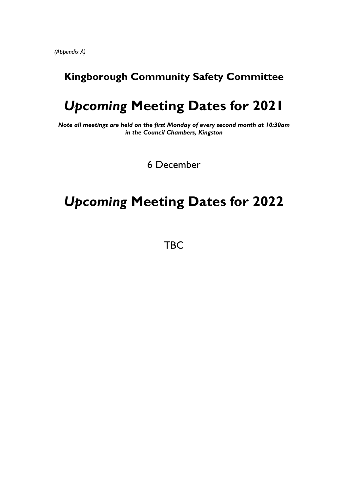*(Appendix A)*

### **Kingborough Community Safety Committee**

## *Upcoming* **Meeting Dates for 2021**

*Note all meetings are held on the first Monday of every second month at 10:30am in the Council Chambers, Kingston*

6 December

## *Upcoming* **Meeting Dates for 2022**

**TBC**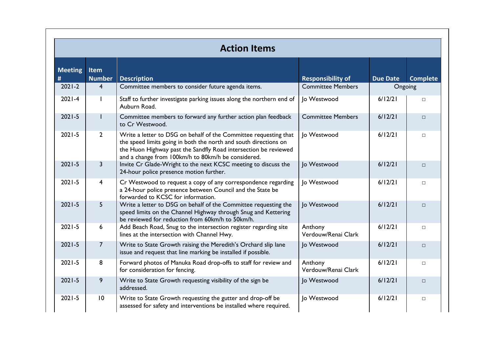| <b>Action Items</b> |                       |                                                                                                                                                                                                                                                               |                                |                 |                 |  |  |
|---------------------|-----------------------|---------------------------------------------------------------------------------------------------------------------------------------------------------------------------------------------------------------------------------------------------------------|--------------------------------|-----------------|-----------------|--|--|
| <b>Meeting</b><br># | Item<br><b>Number</b> | <b>Description</b>                                                                                                                                                                                                                                            | <b>Responsibility of</b>       | <b>Due Date</b> | <b>Complete</b> |  |  |
| $2021 - 2$          | 4                     | Committee members to consider future agenda items.                                                                                                                                                                                                            | <b>Committee Members</b>       | Ongoing         |                 |  |  |
| $2021 - 4$          |                       | Staff to further investigate parking issues along the northern end of<br>Auburn Road.                                                                                                                                                                         | Jo Westwood                    | 6/12/21         | $\Box$          |  |  |
| $2021 - 5$          |                       | Committee members to forward any further action plan feedback<br>to Cr Westwood.                                                                                                                                                                              | <b>Committee Members</b>       | 6/12/21         | $\Box$          |  |  |
| $2021 - 5$          | $\overline{2}$        | Write a letter to DSG on behalf of the Committee requesting that<br>the speed limits going in both the north and south directions on<br>the Huon Highway past the Sandfly Road intersection be reviewed<br>and a change from 100km/h to 80km/h be considered. | Jo Westwood                    | 6/12/21         | $\Box$          |  |  |
| $2021 - 5$          | $\overline{3}$        | Invite Cr Glade-Wright to the next KCSC meeting to discuss the<br>24-hour police presence motion further.                                                                                                                                                     | Jo Westwood                    | 6/12/21         | $\Box$          |  |  |
| $2021 - 5$          | 4                     | Cr Westwood to request a copy of any correspondence regarding<br>a 24-hour police presence between Council and the State be<br>forwarded to KCSC for information.                                                                                             | Jo Westwood                    | 6/12/21         | $\Box$          |  |  |
| $2021 - 5$          | 5                     | Write a letter to DSG on behalf of the Committee requesting the<br>speed limits on the Channel Highway through Snug and Kettering<br>be reviewed for reduction from 60km/h to 50km/h.                                                                         | Jo Westwood                    | 6/12/21         | $\Box$          |  |  |
| $2021 - 5$          | 6                     | Add Beach Road, Snug to the intersection register regarding site<br>lines at the intersection with Channel Hwy.                                                                                                                                               | Anthony<br>Verdouw/Renai Clark | 6/12/21         | $\Box$          |  |  |
| $2021 - 5$          | $\overline{7}$        | Write to State Growth raising the Meredith's Orchard slip lane<br>issue and request that line marking be installed if possible.                                                                                                                               | Jo Westwood                    | 6/12/21         | $\Box$          |  |  |
| $2021 - 5$          | 8                     | Forward photos of Manuka Road drop-offs to staff for review and<br>for consideration for fencing.                                                                                                                                                             | Anthony<br>Verdouw/Renai Clark | 6/12/21         | $\Box$          |  |  |
| $2021 - 5$          | 9                     | Write to State Growth requesting visibility of the sign be<br>addressed.                                                                                                                                                                                      | Jo Westwood                    | 6/12/21         | $\Box$          |  |  |
| $2021 - 5$          | 10                    | Write to State Growth requesting the gutter and drop-off be<br>assessed for safety and interventions be installed where required.                                                                                                                             | Jo Westwood                    | 6/12/21         | $\Box$          |  |  |